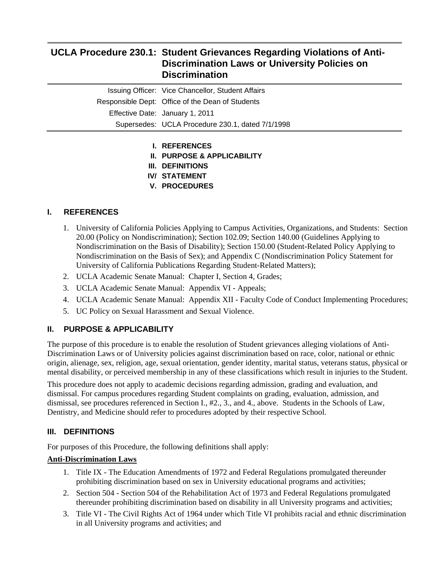# **UCLA Procedure 230.1: Student Grievances Regarding Violations of Anti-Discrimination Laws or University Policies on Discrimination**

|                                                  | Issuing Officer: Vice Chancellor, Student Affairs |
|--------------------------------------------------|---------------------------------------------------|
| Responsible Dept: Office of the Dean of Students |                                                   |
|                                                  | Effective Date: January 1, 2011                   |
|                                                  | Supersedes: UCLA Procedure 230.1, dated 7/1/1998  |

- **I. REFERENCES**
- **II. PURPOSE & APPLICABILITY**
- **III. DEFINITIONS**
- **IV/ STATEMENT**
- **V. PROCEDURES**

## **I. REFERENCES**

- 1. University of California Policies Applying to Campus Activities, Organizations, and Students: Section 20.00 (Policy on Nondiscrimination); Section 102.09; Section 140.00 (Guidelines Applying to Nondiscrimination on the Basis of Disability); Section 150.00 (Student-Related Policy Applying to Nondiscrimination on the Basis of Sex); and Appendix C (Nondiscrimination Policy Statement for University of California Publications Regarding Student-Related Matters);
- 2. UCLA Academic Senate Manual: Chapter I, Section 4, Grades;
- 3. UCLA Academic Senate Manual: Appendix VI Appeals;
- 4. UCLA Academic Senate Manual: Appendix XII Faculty Code of Conduct Implementing Procedures;
- 5. UC Policy on Sexual Harassment and Sexual Violence.

## **II. PURPOSE & APPLICABILITY**

The purpose of this procedure is to enable the resolution of Student grievances alleging violations of Anti-Discrimination Laws or of University policies against discrimination based on race, color, national or ethnic origin, alienage, sex, religion, age, sexual orientation, gender identity, marital status, veterans status, physical or mental disability, or perceived membership in any of these classifications which result in injuries to the Student.

This procedure does not apply to academic decisions regarding admission, grading and evaluation, and dismissal. For campus procedures regarding Student complaints on grading, evaluation, admission, and dismissal, see procedures referenced in Section I., #2., 3., and 4., above. Students in the Schools of Law, Dentistry, and Medicine should refer to procedures adopted by their respective School.

## **III. DEFINITIONS**

For purposes of this Procedure, the following definitions shall apply:

### **Anti-Discrimination Laws**

- 1. Title IX The Education Amendments of 1972 and Federal Regulations promulgated thereunder prohibiting discrimination based on sex in University educational programs and activities;
- 2. Section 504 Section 504 of the Rehabilitation Act of 1973 and Federal Regulations promulgated thereunder prohibiting discrimination based on disability in all University programs and activities;
- 3. Title VI The Civil Rights Act of 1964 under which Title VI prohibits racial and ethnic discrimination in all University programs and activities; and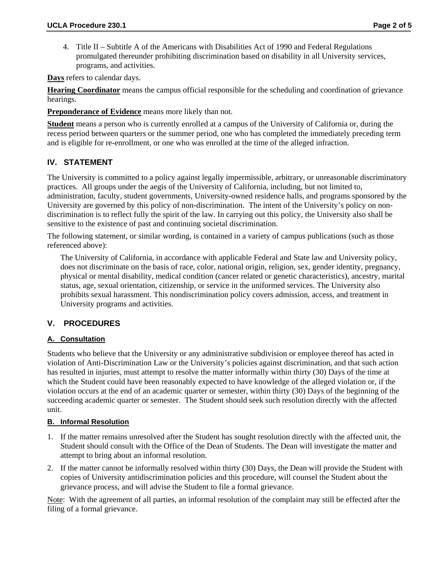4. Title II – Subtitle A of the Americans with Disabilities Act of 1990 and Federal Regulations promulgated thereunder prohibiting discrimination based on disability in all University services, programs, and activities.

**Days** refers to calendar days.

**Hearing Coordinator** means the campus official responsible for the scheduling and coordination of grievance hearings.

**Preponderance of Evidence** means more likely than not.

**Student** means a person who is currently enrolled at a campus of the University of California or, during the recess period between quarters or the summer period, one who has completed the immediately preceding term and is eligible for re-enrollment, or one who was enrolled at the time of the alleged infraction.

#### **IV. STATEMENT**

The University is committed to a policy against legally impermissible, arbitrary, or unreasonable discriminatory practices. All groups under the aegis of the University of California, including, but not limited to, administration, faculty, student governments, University-owned residence halls, and programs sponsored by the University are governed by this policy of non-discrimination. The intent of the University's policy on nondiscrimination is to reflect fully the spirit of the law. In carrying out this policy, the University also shall be sensitive to the existence of past and continuing societal discrimination.

The following statement, or similar wording, is contained in a variety of campus publications (such as those referenced above):

The University of California, in accordance with applicable Federal and State law and University policy, does not discriminate on the basis of race, color, national origin, religion, sex, gender identity, pregnancy, physical or mental disability, medical condition (cancer related or genetic characteristics), ancestry, marital status, age, sexual orientation, citizenship, or service in the uniformed services. The University also prohibits sexual harassment. This nondiscrimination policy covers admission, access, and treatment in University programs and activities.

### **V. PROCEDURES**

### **A. Consultation**

Students who believe that the University or any administrative subdivision or employee thereof has acted in violation of Anti-Discrimination Law or the University's policies against discrimination, and that such action has resulted in injuries, must attempt to resolve the matter informally within thirty (30) Days of the time at which the Student could have been reasonably expected to have knowledge of the alleged violation or, if the violation occurs at the end of an academic quarter or semester, within thirty (30) Days of the beginning of the succeeding academic quarter or semester. The Student should seek such resolution directly with the affected unit.

#### **B. Informal Resolution**

- 1. If the matter remains unresolved after the Student has sought resolution directly with the affected unit, the Student should consult with the Office of the Dean of Students. The Dean will investigate the matter and attempt to bring about an informal resolution.
- 2. If the matter cannot be informally resolved within thirty (30) Days, the Dean will provide the Student with copies of University antidiscrimination policies and this procedure, will counsel the Student about the grievance process, and will advise the Student to file a formal grievance.

Note: With the agreement of all parties, an informal resolution of the complaint may still be effected after the filing of a formal grievance.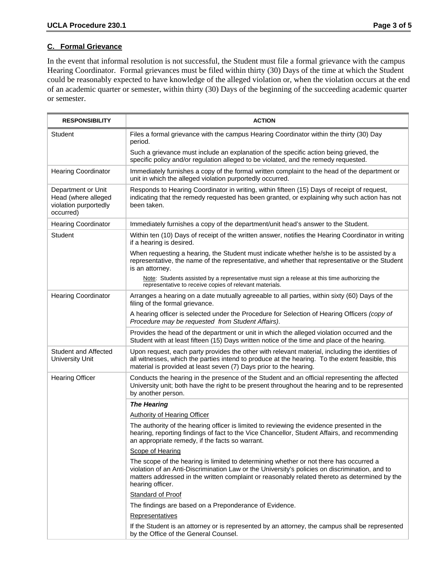#### **C. Formal Grievance**

In the event that informal resolution is not successful, the Student must file a formal grievance with the campus Hearing Coordinator. Formal grievances must be filed within thirty (30) Days of the time at which the Student could be reasonably expected to have knowledge of the alleged violation or, when the violation occurs at the end of an academic quarter or semester, within thirty (30) Days of the beginning of the succeeding academic quarter or semester.

| <b>RESPONSIBILITY</b>                                                           | <b>ACTION</b>                                                                                                                                                                                                                                                                                                 |
|---------------------------------------------------------------------------------|---------------------------------------------------------------------------------------------------------------------------------------------------------------------------------------------------------------------------------------------------------------------------------------------------------------|
| Student                                                                         | Files a formal grievance with the campus Hearing Coordinator within the thirty (30) Day<br>period.                                                                                                                                                                                                            |
|                                                                                 | Such a grievance must include an explanation of the specific action being grieved, the<br>specific policy and/or regulation alleged to be violated, and the remedy requested.                                                                                                                                 |
| <b>Hearing Coordinator</b>                                                      | Immediately furnishes a copy of the formal written complaint to the head of the department or<br>unit in which the alleged violation purportedly occurred.                                                                                                                                                    |
| Department or Unit<br>Head (where alleged<br>violation purportedly<br>occurred) | Responds to Hearing Coordinator in writing, within fifteen (15) Days of receipt of request,<br>indicating that the remedy requested has been granted, or explaining why such action has not<br>been taken.                                                                                                    |
| <b>Hearing Coordinator</b>                                                      | Immediately furnishes a copy of the department/unit head's answer to the Student.                                                                                                                                                                                                                             |
| Student                                                                         | Within ten (10) Days of receipt of the written answer, notifies the Hearing Coordinator in writing<br>if a hearing is desired.                                                                                                                                                                                |
|                                                                                 | When requesting a hearing, the Student must indicate whether he/she is to be assisted by a<br>representative, the name of the representative, and whether that representative or the Student<br>is an attorney.                                                                                               |
|                                                                                 | Note: Students assisted by a representative must sign a release at this time authorizing the<br>representative to receive copies of relevant materials.                                                                                                                                                       |
| <b>Hearing Coordinator</b>                                                      | Arranges a hearing on a date mutually agreeable to all parties, within sixty (60) Days of the<br>filing of the formal grievance.                                                                                                                                                                              |
|                                                                                 | A hearing officer is selected under the Procedure for Selection of Hearing Officers (copy of<br>Procedure may be requested from Student Affairs).                                                                                                                                                             |
|                                                                                 | Provides the head of the department or unit in which the alleged violation occurred and the<br>Student with at least fifteen (15) Days written notice of the time and place of the hearing.                                                                                                                   |
| <b>Student and Affected</b><br><b>University Unit</b>                           | Upon request, each party provides the other with relevant material, including the identities of<br>all witnesses, which the parties intend to produce at the hearing. To the extent feasible, this<br>material is provided at least seven (7) Days prior to the hearing.                                      |
| <b>Hearing Officer</b>                                                          | Conducts the hearing in the presence of the Student and an official representing the affected<br>University unit; both have the right to be present throughout the hearing and to be represented<br>by another person.                                                                                        |
|                                                                                 | <b>The Hearing</b>                                                                                                                                                                                                                                                                                            |
|                                                                                 | <b>Authority of Hearing Officer</b>                                                                                                                                                                                                                                                                           |
|                                                                                 | The authority of the hearing officer is limited to reviewing the evidence presented in the<br>hearing, reporting findings of fact to the Vice Chancellor, Student Affairs, and recommending<br>an appropriate remedy, if the facts so warrant.                                                                |
|                                                                                 | Scope of Hearing                                                                                                                                                                                                                                                                                              |
|                                                                                 | The scope of the hearing is limited to determining whether or not there has occurred a<br>violation of an Anti-Discrimination Law or the University's policies on discrimination, and to<br>matters addressed in the written complaint or reasonably related thereto as determined by the<br>hearing officer. |
|                                                                                 | Standard of Proof                                                                                                                                                                                                                                                                                             |
|                                                                                 | The findings are based on a Preponderance of Evidence.                                                                                                                                                                                                                                                        |
|                                                                                 | Representatives                                                                                                                                                                                                                                                                                               |
|                                                                                 | If the Student is an attorney or is represented by an attorney, the campus shall be represented<br>by the Office of the General Counsel.                                                                                                                                                                      |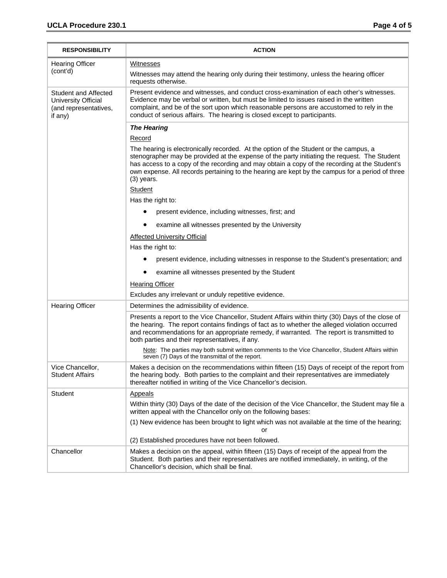| <b>RESPONSIBILITY</b>                                                                  | <b>ACTION</b>                                                                                                                                                                                                                                                                                                                                                                                             |
|----------------------------------------------------------------------------------------|-----------------------------------------------------------------------------------------------------------------------------------------------------------------------------------------------------------------------------------------------------------------------------------------------------------------------------------------------------------------------------------------------------------|
| <b>Hearing Officer</b>                                                                 | <b>Witnesses</b>                                                                                                                                                                                                                                                                                                                                                                                          |
| (cont'd)                                                                               | Witnesses may attend the hearing only during their testimony, unless the hearing officer<br>requests otherwise.                                                                                                                                                                                                                                                                                           |
| <b>Student and Affected</b><br>University Official<br>(and representatives,<br>if any) | Present evidence and witnesses, and conduct cross-examination of each other's witnesses.<br>Evidence may be verbal or written, but must be limited to issues raised in the written<br>complaint, and be of the sort upon which reasonable persons are accustomed to rely in the<br>conduct of serious affairs. The hearing is closed except to participants.                                              |
|                                                                                        | <b>The Hearing</b>                                                                                                                                                                                                                                                                                                                                                                                        |
|                                                                                        | Record                                                                                                                                                                                                                                                                                                                                                                                                    |
|                                                                                        | The hearing is electronically recorded. At the option of the Student or the campus, a<br>stenographer may be provided at the expense of the party initiating the request. The Student<br>has access to a copy of the recording and may obtain a copy of the recording at the Student's<br>own expense. All records pertaining to the hearing are kept by the campus for a period of three<br>$(3)$ years. |
|                                                                                        | Student                                                                                                                                                                                                                                                                                                                                                                                                   |
|                                                                                        | Has the right to:                                                                                                                                                                                                                                                                                                                                                                                         |
|                                                                                        | present evidence, including witnesses, first; and                                                                                                                                                                                                                                                                                                                                                         |
|                                                                                        | examine all witnesses presented by the University                                                                                                                                                                                                                                                                                                                                                         |
|                                                                                        | <b>Affected University Official</b>                                                                                                                                                                                                                                                                                                                                                                       |
|                                                                                        | Has the right to:                                                                                                                                                                                                                                                                                                                                                                                         |
|                                                                                        | present evidence, including witnesses in response to the Student's presentation; and                                                                                                                                                                                                                                                                                                                      |
|                                                                                        | examine all witnesses presented by the Student                                                                                                                                                                                                                                                                                                                                                            |
|                                                                                        | <b>Hearing Officer</b>                                                                                                                                                                                                                                                                                                                                                                                    |
|                                                                                        | Excludes any irrelevant or unduly repetitive evidence.                                                                                                                                                                                                                                                                                                                                                    |
| <b>Hearing Officer</b>                                                                 | Determines the admissibility of evidence.                                                                                                                                                                                                                                                                                                                                                                 |
|                                                                                        | Presents a report to the Vice Chancellor, Student Affairs within thirty (30) Days of the close of<br>the hearing. The report contains findings of fact as to whether the alleged violation occurred<br>and recommendations for an appropriate remedy, if warranted. The report is transmitted to<br>both parties and their representatives, if any.                                                       |
|                                                                                        | Note: The parties may both submit written comments to the Vice Chancellor, Student Affairs within<br>seven (7) Days of the transmittal of the report.                                                                                                                                                                                                                                                     |
| Vice Chancellor.<br><b>Student Affairs</b>                                             | Makes a decision on the recommendations within fifteen (15) Days of receipt of the report from<br>the hearing body. Both parties to the complaint and their representatives are immediately<br>thereafter notified in writing of the Vice Chancellor's decision.                                                                                                                                          |
| Student                                                                                | Appeals                                                                                                                                                                                                                                                                                                                                                                                                   |
|                                                                                        | Within thirty (30) Days of the date of the decision of the Vice Chancellor, the Student may file a<br>written appeal with the Chancellor only on the following bases:                                                                                                                                                                                                                                     |
|                                                                                        | (1) New evidence has been brought to light which was not available at the time of the hearing;<br>or                                                                                                                                                                                                                                                                                                      |
|                                                                                        | (2) Established procedures have not been followed.                                                                                                                                                                                                                                                                                                                                                        |
| Chancellor                                                                             | Makes a decision on the appeal, within fifteen (15) Days of receipt of the appeal from the<br>Student. Both parties and their representatives are notified immediately, in writing, of the<br>Chancellor's decision, which shall be final.                                                                                                                                                                |